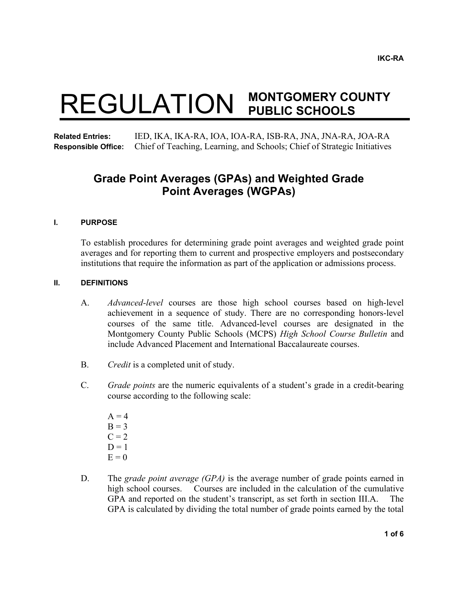# REGULATION **MONTGOMERY COUNTY PUBLIC SCHOOLS**

**Related Entries:** IED, IKA, IKA-RA, IOA, IOA-RA, ISB-RA, JNA, JNA-RA, JOA-RA **Responsible Office:** Chief of Teaching, Learning, and Schools; Chief of Strategic Initiatives

## **Grade Point Averages (GPAs) and Weighted Grade Point Averages (WGPAs)**

#### **I. PURPOSE**

To establish procedures for determining grade point averages and weighted grade point averages and for reporting them to current and prospective employers and postsecondary institutions that require the information as part of the application or admissions process.

#### **II. DEFINITIONS**

- A. *Advanced-level* courses are those high school courses based on high-level achievement in a sequence of study. There are no corresponding honors-level courses of the same title. Advanced-level courses are designated in the Montgomery County Public Schools (MCPS) *High School Course Bulletin* and include Advanced Placement and International Baccalaureate courses.
- B. *Credit* is a completed unit of study.
- C. *Grade points* are the numeric equivalents of a student's grade in a credit-bearing course according to the following scale:
	- $A = 4$  $B = 3$  $C = 2$  $D = 1$  $E = 0$
- D. The *grade point average (GPA)* is the average number of grade points earned in high school courses. Courses are included in the calculation of the cumulative GPA and reported on the student's transcript, as set forth in section III.A. The GPA is calculated by dividing the total number of grade points earned by the total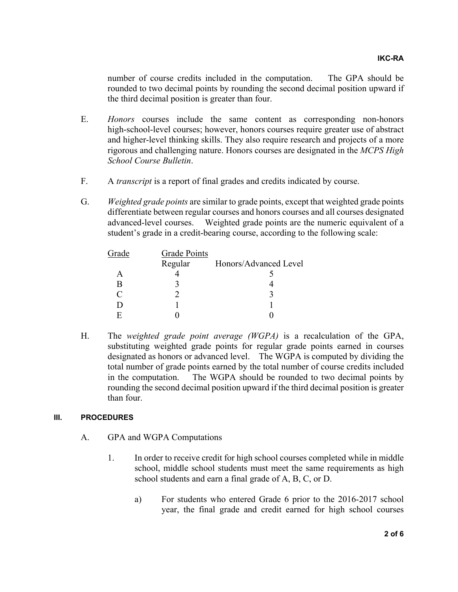number of course credits included in the computation. The GPA should be rounded to two decimal points by rounding the second decimal position upward if the third decimal position is greater than four.

- E. *Honors* courses include the same content as corresponding non-honors high-school-level courses; however, honors courses require greater use of abstract and higher-level thinking skills. They also require research and projects of a more rigorous and challenging nature. Honors courses are designated in the *MCPS High School Course Bulletin*.
- F. A *transcript* is a report of final grades and credits indicated by course.
- G. *Weighted grade points* are similar to grade points, except that weighted grade points differentiate between regular courses and honors courses and all courses designated advanced-level courses. Weighted grade points are the numeric equivalent of a student's grade in a credit-bearing course, according to the following scale:

| <b>Grade Points</b> |                       |
|---------------------|-----------------------|
| Regular             | Honors/Advanced Level |
|                     |                       |
|                     |                       |
|                     |                       |
|                     |                       |
|                     |                       |
|                     |                       |

 H. The *weighted grade point average (WGPA)* is a recalculation of the GPA, substituting weighted grade points for regular grade points earned in courses designated as honors or advanced level. The WGPA is computed by dividing the total number of grade points earned by the total number of course credits included in the computation. The WGPA should be rounded to two decimal points by rounding the second decimal position upward if the third decimal position is greater than four.

### **III. PROCEDURES**

- A. GPA and WGPA Computations
	- 1. In order to receive credit for high school courses completed while in middle school, middle school students must meet the same requirements as high school students and earn a final grade of A, B, C, or D.
		- a) For students who entered Grade 6 prior to the 2016-2017 school year, the final grade and credit earned for high school courses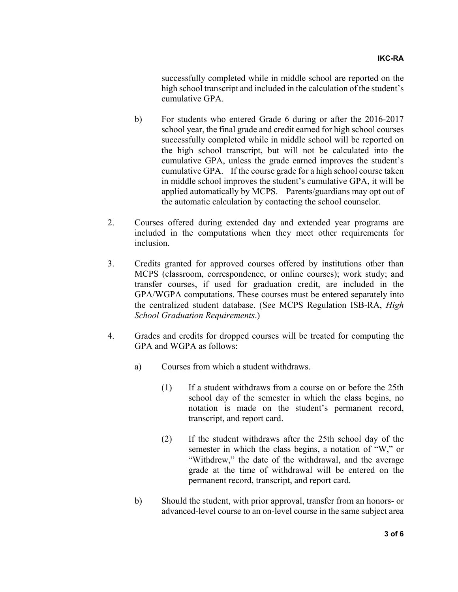successfully completed while in middle school are reported on the high school transcript and included in the calculation of the student's cumulative GPA.

- b) For students who entered Grade 6 during or after the 2016-2017 school year, the final grade and credit earned for high school courses successfully completed while in middle school will be reported on the high school transcript, but will not be calculated into the cumulative GPA, unless the grade earned improves the student's cumulative GPA. If the course grade for a high school course taken in middle school improves the student's cumulative GPA, it will be applied automatically by MCPS. Parents/guardians may opt out of the automatic calculation by contacting the school counselor.
- 2. Courses offered during extended day and extended year programs are included in the computations when they meet other requirements for inclusion.
- 3. Credits granted for approved courses offered by institutions other than MCPS (classroom, correspondence, or online courses); work study; and transfer courses, if used for graduation credit, are included in the GPA/WGPA computations. These courses must be entered separately into the centralized student database. (See MCPS Regulation ISB-RA, *High School Graduation Requirements*.)
- 4. Grades and credits for dropped courses will be treated for computing the GPA and WGPA as follows:
	- a) Courses from which a student withdraws.
		- (1) If a student withdraws from a course on or before the 25th school day of the semester in which the class begins, no notation is made on the student's permanent record, transcript, and report card.
		- (2) If the student withdraws after the 25th school day of the semester in which the class begins, a notation of "W," or "Withdrew," the date of the withdrawal, and the average grade at the time of withdrawal will be entered on the permanent record, transcript, and report card.
	- b) Should the student, with prior approval, transfer from an honors- or advanced-level course to an on-level course in the same subject area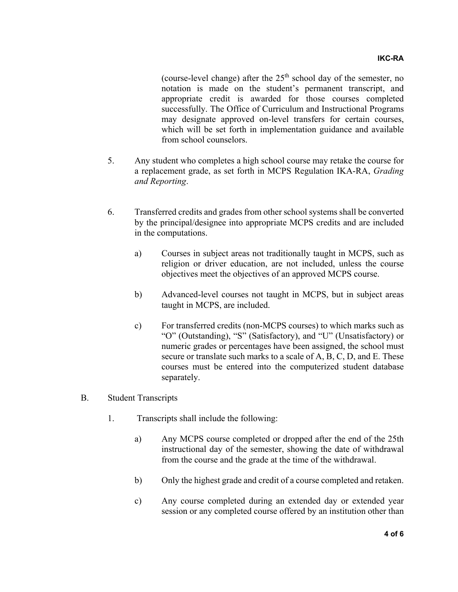(course-level change) after the  $25<sup>th</sup>$  school day of the semester, no notation is made on the student's permanent transcript, and appropriate credit is awarded for those courses completed successfully. The Office of Curriculum and Instructional Programs may designate approved on-level transfers for certain courses, which will be set forth in implementation guidance and available from school counselors.

- 5. Any student who completes a high school course may retake the course for a replacement grade, as set forth in MCPS Regulation IKA-RA, *Grading and Reporting*.
- 6. Transferred credits and grades from other school systems shall be converted by the principal/designee into appropriate MCPS credits and are included in the computations.
	- a) Courses in subject areas not traditionally taught in MCPS, such as religion or driver education, are not included, unless the course objectives meet the objectives of an approved MCPS course.
	- b) Advanced-level courses not taught in MCPS, but in subject areas taught in MCPS, are included.
	- c) For transferred credits (non-MCPS courses) to which marks such as "O" (Outstanding), "S" (Satisfactory), and "U" (Unsatisfactory) or numeric grades or percentages have been assigned, the school must secure or translate such marks to a scale of A, B, C, D, and E. These courses must be entered into the computerized student database separately.
- B. Student Transcripts
	- 1. Transcripts shall include the following:
		- a) Any MCPS course completed or dropped after the end of the 25th instructional day of the semester, showing the date of withdrawal from the course and the grade at the time of the withdrawal.
		- b) Only the highest grade and credit of a course completed and retaken.
		- c) Any course completed during an extended day or extended year session or any completed course offered by an institution other than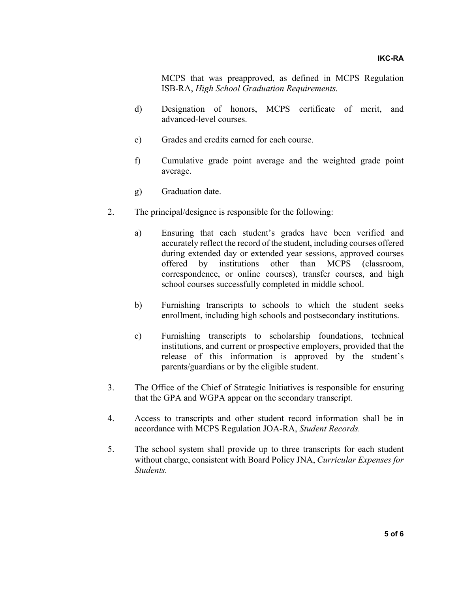MCPS that was preapproved, as defined in MCPS Regulation ISB-RA, *High School Graduation Requirements.* 

- d) Designation of honors, MCPS certificate of merit, and advanced-level courses.
- e) Grades and credits earned for each course.
- f) Cumulative grade point average and the weighted grade point average.
- g) Graduation date.
- 2. The principal/designee is responsible for the following:
	- a) Ensuring that each student's grades have been verified and accurately reflect the record of the student, including courses offered during extended day or extended year sessions, approved courses offered by institutions other than MCPS (classroom, correspondence, or online courses), transfer courses, and high school courses successfully completed in middle school.
	- b) Furnishing transcripts to schools to which the student seeks enrollment, including high schools and postsecondary institutions.
	- c) Furnishing transcripts to scholarship foundations, technical institutions, and current or prospective employers, provided that the release of this information is approved by the student's parents/guardians or by the eligible student.
- 3. The Office of the Chief of Strategic Initiatives is responsible for ensuring that the GPA and WGPA appear on the secondary transcript.
- 4. Access to transcripts and other student record information shall be in accordance with MCPS Regulation JOA-RA, *Student Records.*
- 5. The school system shall provide up to three transcripts for each student without charge, consistent with Board Policy JNA, *Curricular Expenses for Students.*